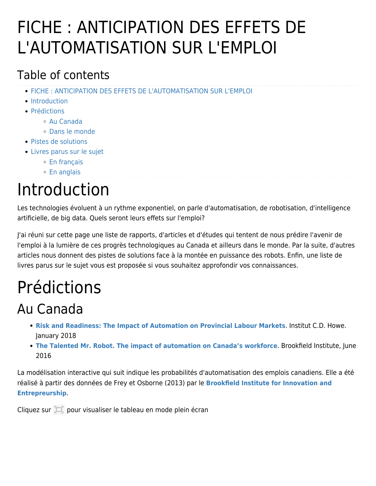# FICHE : ANTICIPATION DES EFFETS DE L'AUTOMATISATION SUR L'EMPLOI

### Table of contents

- [FICHE : ANTICIPATION DES EFFETS DE L'AUTOMATISATION SUR L'EMPLOI](#page--1-0)
- [Introduction](#page--1-0)
- [Prédictions](#page--1-0)
	- [Au Canada](#page--1-0)
	- [Dans le monde](#page--1-0)
- [Pistes de solutions](#page--1-0)
- [Livres parus sur le sujet](#page--1-0)
	- [En français](#page--1-0)
	- [En anglais](#page--1-0)

# Introduction

Les technologies évoluent à un rythme exponentiel, on parle d'automatisation, de robotisation, d'intelligence artificielle, de big data. Quels seront leurs effets sur l'emploi?

J'ai réuni sur cette page une liste de rapports, d'articles et d'études qui tentent de nous prédire l'avenir de l'emploi à la lumière de ces progrès technologiques au Canada et ailleurs dans le monde. Par la suite, d'autres articles nous donnent des pistes de solutions face à la montée en puissance des robots. Enfin, une liste de livres parus sur le sujet vous est proposée si vous souhaitez approfondir vos connaissances.

# Prédictions

## Au Canada

- **[Risk and Readiness: The Impact of Automation on Provincial Labour Markets](https://www.cdhowe.org/sites/default/files/attachments/research_papers/mixed/Jan%2015%20Comm%20499%20Final.pdf)**. Institut C.D. Howe. January 2018
- **[The Talented Mr. Robot. The impact of automation on Canada's workforce](http://images.transcontinentalmedia.com/LAF/lacom/TALENTEDMRROBOT.pdf)**. Brookfield Institute, June 2016

La modélisation interactive qui suit indique les probabilités d'automatisation des emplois canadiens. Elle a été réalisé à partir des données de Frey et Osborne (2013) par le **[Brookfield Institute for Innovation and](https://brookfieldinstitute.ca/) [Entrepreurship](https://brookfieldinstitute.ca/)**.

Cliquez sur  $\Box$  pour visualiser le tableau en mode plein écran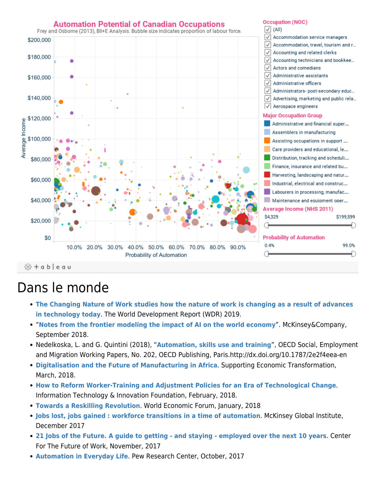

### Dans le monde

- **[The Changing Nature of Work studies how the nature of work is changing as a result of advances](http://www.worldbank.org/en/publication/wdr2019) [in technology today](http://www.worldbank.org/en/publication/wdr2019)**. The World Development Report (WDR) 2019.
- "**[Notes from the frontier modeling the impact of AI on the world economy](https://www.mckinsey.com/~/media/McKinsey/Featured%20Insights/Artificial%20Intelligence/Notes%20from%20the%20frontier%20Modeling%20the%20impact%20of%20AI%20on%20the%20world%20economy/MGI-Notes-from-the-frontier-Modeling-the-impact-of-AI-on-the-world-economy.ashx)**". McKinsey&Company, September 2018.
- Nedelkoska, L. and G. Quintini (2018), "**[Automation, skills use and training](https://www.oecd-ilibrary.org/docserver/2e2f4eea-en.pdf?expires=1524594300&id=id&accname=guest&checksum=3D678FC12FA4842F439716E2DF67D250)**", OECD Social, Employment and Migration Working Papers, No. 202, OECD Publishing, Paris.http://dx.doi.org/10.1787/2e2f4eea-en
- **[Digitalisation and the Future of Manufacturing in Africa](https://set.odi.org/wp-content/uploads/2018/03/SET_Digitalisation-and-future-of-African-manufacturing_Final.pdf)**. Supporting Economic Transformation, March, 2018.
- **[How to Reform Worker-Training and Adjustment Policies for an Era of Technological Change](https://www.itif.org/publications/2018/02/20/technological-innovation-employment-and-workforce-adjustment-policies?_ga=2.64015528.66262530.1519228955-1258694011.1519228955)**. Information Technology & Innovation Foundation, February, 2018.
- **[Towards a Reskilling Revolution](http://www3.weforum.org/docs/WEF_FOW_Reskilling_Revolution.pdf)**. World Economic Forum, January, 2018
- **[Jobs lost, jobs gained : workforce transitions in a time of automation](https://technologyreview.us11.list-manage.com/track/click?u=47c1a9cec9749a8f8cbc83e78&id=66f78fce4f&e=0d3e8516e9)**. McKinsey Global Institute, December 2017
- **[21 Jobs of the Future. A guide to getting and staying employed over the next 10 years](https://www.cognizant.com/whitepapers/21-jobs-of-the-future-a-guide-to-getting-and-staying-employed-over-the-next-10-years-codex3049.pdf)**. Center For The Future of Work, November, 2017
- **[Automation in Everyday Life](http://www.pewinternet.org/2017/10/04/automation-in-everyday-life/)**. Pew Research Center, October, 2017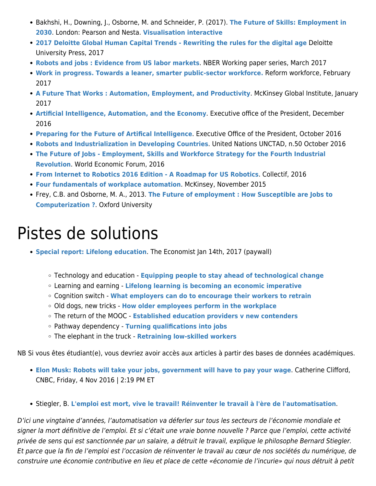- Bakhshi, H., Downing, J., Osborne, M. and Schneider, P. (2017). **[The Future of Skills: Employment in](http://www.nesta.org.uk/sites/default/files/the_future_of_skills_employment_in_2030_0.pdf) [2030](http://www.nesta.org.uk/sites/default/files/the_future_of_skills_employment_in_2030_0.pdf)**. London: Pearson and Nesta. **[Visualisation interactive](http://data-viz.nesta.org.uk/future-skills/index.html)**
- **[2017 Deloitte Global Human Capital Trends Rewriting the rules for the digital age](https://www2.deloitte.com/content/dam/Deloitte/us/Documents/human-capital/hc-2017-global-human-capital-trends-us.pdf)** Deloitte University Press, 2017
- **[Robots and jobs : Evidence from US labor markets](http://papers.nber.org/tmp/7580-w23285.pdf)**. NBER Working paper series, March 2017
- **[Work in progress. Towards a leaner, smarter public-sector workforce.](http://www.reform.uk/wp-content/uploads/2017/02/Reform-Work-in-progress-report.pdf)** Reform workforce, February 2017
- **[A Future That Works : Automation, Employment, and Productivity](http://www.mckinsey.com/~/media/McKinsey/Global%20Themes/Digital%20Disruption/Harnessing%20automation%20for%20a%20future%20that%20works/MGI-A-future-that-works-Executive-summary.ashx)**. McKinsey Global Institute, January 2017
- **[Artificial Intelligence, Automation, and the Economy](https://www.whitehouse.gov/sites/whitehouse.gov/files/documents/Artificial-Intelligence-Automation-Economy.PDF)**. Executive office of the President, December 2016
- **[Preparing for the Future of Artifical Intelligence](https://www.whitehouse.gov/sites/default/files/whitehouse_files/microsites/ostp/NSTC/preparing_for_the_future_of_ai.pdf)**. Executive Office of the President, October 2016
- **[Robots and Industrialization in Developing Countries](http://unctad.org/en/PublicationsLibrary/presspb2016d6_en.pdf)**. United Nations UNCTAD, n.50 October 2016
- **[The Future of Jobs Employment, Skills and Workforce Strategy for the Fourth Industrial](http://www3.weforum.org/docs/WEF_Future_of_Jobs.pdf) [Revolution](http://www3.weforum.org/docs/WEF_Future_of_Jobs.pdf)**. World Economic Forum, 2016
- **[From Internet to Robotics 2016 Edition A Roadmap for US Robotics](http://jacobsschool.ucsd.edu/contextualrobotics/docs/rm3-final-rs.pdf)**. Collectif, 2016
- **[Four fundamentals of workplace automation](http://www.yourworkplace.ca/wp-content/uploads/2013/08/Four-fundamentals-of-workplace-automation.pdf)**. McKinsey, November 2015
- Frey, C.B. and Osborne, M. A., 2013. **[The Future of employment : How Susceptible are Jobs to](http://www.oxfordmartin.ox.ac.uk/downloads/academic/future-of-employment.pdf) [Computerization ?](http://www.oxfordmartin.ox.ac.uk/downloads/academic/future-of-employment.pdf)**. Oxford University

## Pistes de solutions

- **[Special report: Lifelong education](http://www.economist.com/printedition/2017-01-14)**. The Economist Jan 14th, 2017 (paywall)
	- Technology and education **[Equipping people to stay ahead of technological change](http://www.economist.com/news/leaders/21714341-it-easy-say-people-need-keep-learning-throughout-their-careers-practicalities)**
	- Learning and earning **[Lifelong learning is becoming an economic imperative](http://www.economist.com/news/special-report/21714169-technological-change-demands-stronger-and-more-continuous-connections-between-education)**
	- Cognition switch **[What employers can do to encourage their workers to retrain](http://www.economist.com/news/special-report/21714171-companies-are-embracing-learning-core-skill-what-employers-can-do-encourage-their)**
	- Old dogs, new tricks **[How older employees perform in the workplace](http://www.economist.com/news/special-report/21714174-people-age-brain-changes-both-good-ways-and-bad-how-older-employees-perform)**
	- The return of the MOOC **[Established education providers v new contenders](http://www.economist.com/news/special-report/21714173-alternative-providers-education-must-solve-problems-cost-and)**
	- Pathway dependency **[Turning qualifications into jobs](http://www.economist.com/news/special-report/21714172-how-technology-can-help-myriad-ways-turning-qualifications-jobs)**
	- The elephant in the truck **[Retraining low-skilled workers](http://www.economist.com/news/special-report/21714175-systems-continuous-reskilling-threaten-buttress-inequality-retraining-low-skilled)**

NB Si vous êtes étudiant(e), vous devriez avoir accès aux articles à partir des bases de données académiques.

- **[Elon Musk: Robots will take your jobs, government will have to pay your wage](http://www.cnbc.com/2016/11/04/elon-musk-robots-will-take-your-jobs-government-will-have-to-pay-your-wage.html)**. Catherine Clifford, CNBC, Friday, 4 Nov 2016 | 2:19 PM ET
- Stiegler, B. **[L'emploi est mort, vive le travail! Réinventer le travail à l'ère de l'automatisation](http://www.culturemobile.net/visions/bernard-stiegler-emploi-est-mort-vive-travail)**.

D'ici une vingtaine d'années, l'automatisation va déferler sur tous les secteurs de l'économie mondiale et signer la mort définitive de l'emploi. Et si c'était une vraie bonne nouvelle ? Parce que l'emploi, cette activité privée de sens qui est sanctionnée par un salaire, a détruit le travail, explique le philosophe Bernard Stiegler. Et parce que la fin de l'emploi est l'occasion de réinventer le travail au cœur de nos sociétés du numérique, de construire une économie contributive en lieu et place de cette «économie de l'incurie» qui nous détruit à petit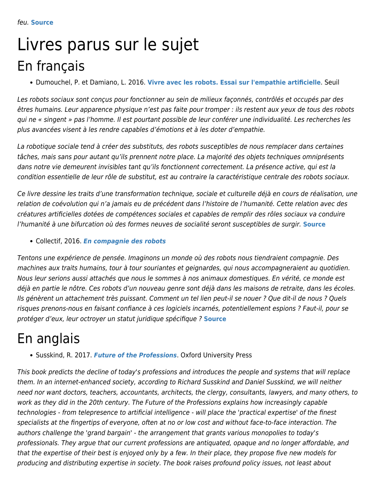## Livres parus sur le sujet En français

Dumouchel, P. et Damiano, L. 2016. **[Vivre avec les robots. Essai sur l'empathie artificielle](http://www.seuil.com/ouvrage/vivre-avec-les-robots-paul-dumouchel/9782021143614)**. Seuil

Les robots sociaux sont conçus pour fonctionner au sein de milieux façonnés, contrôlés et occupés par des êtres humains. Leur apparence physique n'est pas faite pour tromper : ils restent aux yeux de tous des robots qui ne « singent » pas l'homme. Il est pourtant possible de leur conférer une individualité. Les recherches les plus avancées visent à les rendre capables d'émotions et à les doter d'empathie.

La robotique sociale tend à créer des substituts, des robots susceptibles de nous remplacer dans certaines tâches, mais sans pour autant qu'ils prennent notre place. La majorité des objets techniques omniprésents dans notre vie demeurent invisibles tant qu'ils fonctionnent correctement. La présence active, qui est la condition essentielle de leur rôle de substitut, est au contraire la caractéristique centrale des robots sociaux.

Ce livre dessine les traits d'une transformation technique, sociale et culturelle déjà en cours de réalisation, une relation de coévolution qui n'a jamais eu de précédent dans l'histoire de l'humanité. Cette relation avec des créatures artificielles dotées de compétences sociales et capables de remplir des rôles sociaux va conduire l'humanité à une bifurcation où des formes neuves de socialité seront susceptibles de surgir. **[Source](http://www.seuil.com/ouvrage/vivre-avec-les-robots-paul-dumouchel/9782021143614)**

Collectif, 2016. *[En compagnie des robots](http://www.premierparallele.fr/livre/en-compagnie-des-robots)*

Tentons une expérience de pensée. Imaginons un monde où des robots nous tiendraient compagnie. Des machines aux traits humains, tour à tour souriantes et geignardes, qui nous accompagneraient au quotidien. Nous leur serions aussi attachés que nous le sommes à nos animaux domestiques. En vérité, ce monde est déjà en partie le nôtre. Ces robots d'un nouveau genre sont déjà dans les maisons de retraite, dans les écoles. Ils génèrent un attachement très puissant. Comment un tel lien peut-il se nouer ? Que dit-il de nous ? Quels risques prenons-nous en faisant confiance à ces logiciels incarnés, potentiellement espions ? Faut-il, pour se protéger d'eux, leur octroyer un statut juridique spécifique ? **[Source](http://www.premierparallele.fr/livre/en-compagnie-des-robots)**

### En anglais

Susskind, R. 2017. *[Future of the Professions](https://bookshop.theguardian.com/future-of-the-professions-479040.html)*. Oxford University Press

This book predicts the decline of today's professions and introduces the people and systems that will replace them. In an internet-enhanced society, according to Richard Susskind and Daniel Susskind, we will neither need nor want doctors, teachers, accountants, architects, the clergy, consultants, lawyers, and many others, to work as they did in the 20th century. The Future of the Professions explains how increasingly capable technologies - from telepresence to artificial intelligence - will place the 'practical expertise' of the finest specialists at the fingertips of everyone, often at no or low cost and without face-to-face interaction. The authors challenge the 'grand bargain' - the arrangement that grants various monopolies to today's professionals. They argue that our current professions are antiquated, opaque and no longer affordable, and that the expertise of their best is enjoyed only by a few. In their place, they propose five new models for producing and distributing expertise in society. The book raises profound policy issues, not least about